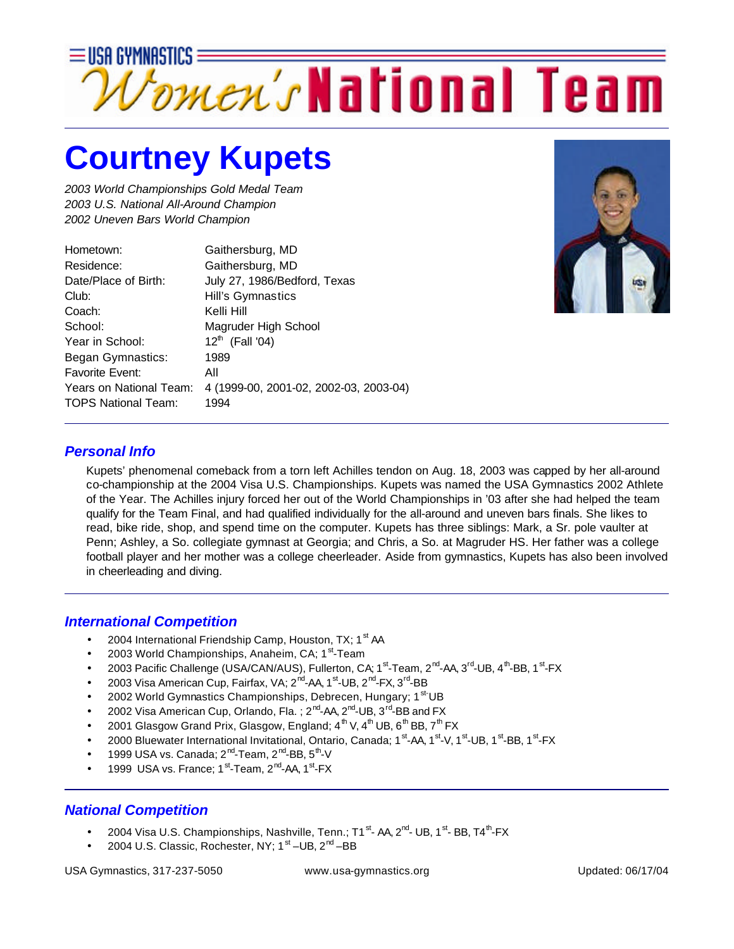

## **Courtney Kupets**

*2003 World Championships Gold Medal Team 2003 U.S. National All-Around Champion 2002 Uneven Bars World Champion*

| Hometown:                  | Gaithersburg, MD                       |
|----------------------------|----------------------------------------|
| Residence:                 | Gaithersburg, MD                       |
| Date/Place of Birth:       | July 27, 1986/Bedford, Texas           |
| Club:                      | Hill's Gymnastics                      |
| Coach:                     | Kelli Hill                             |
| School:                    | Magruder High School                   |
| Year in School:            | $12^{th}$ (Fall '04)                   |
| Began Gymnastics:          | 1989                                   |
| <b>Favorite Event:</b>     | All                                    |
| Years on National Team:    | 4 (1999-00, 2001-02, 2002-03, 2003-04) |
| <b>TOPS National Team:</b> | 1994                                   |
|                            |                                        |



## *Personal Info*

Kupets' phenomenal comeback from a torn left Achilles tendon on Aug. 18, 2003 was capped by her all-around co-championship at the 2004 Visa U.S. Championships. Kupets was named the USA Gymnastics 2002 Athlete of the Year. The Achilles injury forced her out of the World Championships in '03 after she had helped the team qualify for the Team Final, and had qualified individually for the all-around and uneven bars finals. She likes to read, bike ride, shop, and spend time on the computer. Kupets has three siblings: Mark, a Sr. pole vaulter at Penn; Ashley, a So. collegiate gymnast at Georgia; and Chris, a So. at Magruder HS. Her father was a college football player and her mother was a college cheerleader. Aside from gymnastics, Kupets has also been involved in cheerleading and diving.

## *International Competition*

- 2004 International Friendship Camp, Houston, TX;  $1^{st}$  AA
- 2003 World Championships, Anaheim, CA; 1<sup>st</sup>-Team
- 2003 Pacific Challenge (USA/CAN/AUS), Fullerton, CA; 1<sup>st</sup>-Team, 2<sup>nd</sup>-AA, 3<sup>rd</sup>-UB, 4<sup>th</sup>-BB, 1<sup>st</sup>-FX
- 2003 Visa American Cup, Fairfax, VA; 2<sup>nd</sup>-AA, 1<sup>st</sup>-UB, 2<sup>nd</sup>-FX, 3<sup>rd</sup>-BB
- 2002 World Gymnastics Championships, Debrecen, Hungary; 1<sup>st-</sup>UB
- 2002 Visa American Cup, Orlando, Fla. ; 2<sup>nd</sup>-AA, 2<sup>nd</sup>-UB, 3<sup>rd</sup>-BB and FX
- 2001 Glasgow Grand Prix, Glasgow, England;  $4^{th}$  V,  $4^{th}$  UB,  $6^{th}$  BB,  $7^{th}$  FX
- 2000 Bluewater International Invitational, Ontario, Canada; 1<sup>st</sup>-AA, 1<sup>st</sup>-V, 1<sup>st</sup>-UB, 1<sup>st</sup>-BB, 1<sup>st</sup>-FX
- $\bullet$  1999 USA vs. Canada; 2<sup>nd</sup>-Team, 2<sup>nd</sup>-BB, 5<sup>th</sup>-V
- 1999 USA vs. France; 1<sup>st</sup>-Team, 2<sup>nd</sup>-AA, 1<sup>st</sup>-FX

## *National Competition*

- $\bullet$  2004 Visa U.S. Championships, Nashville, Tenn.; T1  $^{\rm st}$  AA, 2 $^{\rm nd}$  UB, 1 $^{\rm st}$  BB, T4 $^{\rm th}$ -FX
- 2004 U.S. Classic, Rochester, NY; 1<sup>st</sup> -UB, 2<sup>nd</sup> -BB